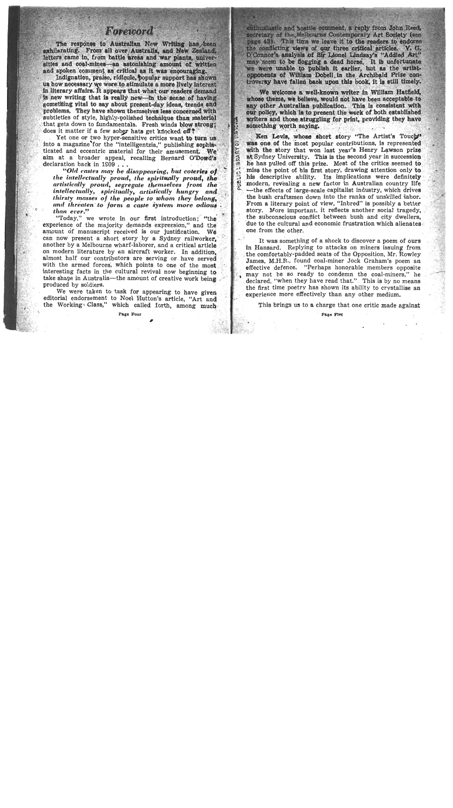## Foreword

The response to Australian New Writing has been exhilarating. From all over Australia, and New Zealand. letters came in, from battle areas and war plants, universities and coal-mines-an astonishing amount of written and spoken comment as critical as it was encouraging.

Indignation, praise, ridicule, popular support has shown us how necessary we were to stimulate a more lively interest in literary affairs. It appears that what our readers demand is new writing that is really new—in the sense of having something vital to say about present-day ideas, trends and problems. They have shown themselves less concerned with subtleties of style, highly-polished technique than material that gets down to fundamentals. Fresh winds blow strong: does it matter if a few sober hats get knocked off?

Yet one or two hyper-sensitive critics want to turn us into a magazine for the "intelligentzia," publishing sophisticated and eccentric material for their amusement. We aim at a broader appeal, recalling Bernard O'Dowd's declaration back in 1909...

"Old castes may be disappearing, but coteries of the intellectually proud, the spiritually proud, the artistically proud, segregate themselves from the intellectually, spiritually, artistically hungry and thirsty masses of the people to whom they belong. and threaten to form a caste system more odious than ever."

"Today," we wrote in our first introduction; "the experience of the majority demands expression," and the amount of manuscript received is our justification. We can now present a short story by a Sydney railworker. another by a Melbourne wharf-laborer, and a critical article on modern literature by an aircraft worker. In addition. almost half our contributors are serving or have served with the armed forces, which points to one of the most interesting facts in the cultural revival now beginning to take shape in Australia—the amount of creative work being produced by soldiers.

We were taken to task for appearing to have given editorial endorsement to Noel Hutton's article, "Art and the Working Class," which called forth, among much enthusiastic and hostile comment, a reply from John Reed; secretary of the Melbourne Contemporary Art Society (see page 43). This time we leave it to the readers to endorse the conflicting views of our three critical articles. V. G. O'Connor's analysis of Sir Lionel Lindsay's "Addled Art" may seem to be flogging a dead horse. It is unfortunate we were unable to bublish it earlier, but as the artistouponents of William Dobell in the Archibald Prize controversy have fallen back upon this book, it is still timely.

We welcome a well-known writer in William Hatfield. whose theme, we believe, would not have been acceptable to any other Australian publication. This is consistent with our policy, which is to present the work of both established writers and those struggling for print, providing they have something worth saving.

Ken Levis, whose short story "The Artist's Touch" was one of the most popular contributions, is represented with the story that won last year's Henry Lawson prize at Sydney University. This is the second year in succession he has pulled off this prize. Most of the critics seemed to miss the point of his first story, drawing attention only to his descriptive ability. Its implications were definitely modern, revealing a new factor in Australian country life -the effects of large-scale capitalist industry, which drives the bush craftsmen down into the ranks of unskilled labor. From a literary point of view, "Inbred" is possibly a better story. More important, it reflects another social tragedy, the subconscious conflict between bush and city dwellers. due to the cultural and economic frustration which alienates one from the other.

**CLIBRARY** 

It was something of a shock to discover a poem of ours in Hansard. Replying to attacks on miners issuing from the comfortably-padded seats of the Opposition, Mr. Rowley James, M.H.R., found coal-miner Jock Graham's poem an effective defence. "Perhaps honorable members opposite may not be so ready to condemn the coal-miners." he declared, "when they have read that." This is by no means the first time poetry has shown its ability to crystallise an experience more effectively than any other medium.

This brings us to a charge that one critic made against